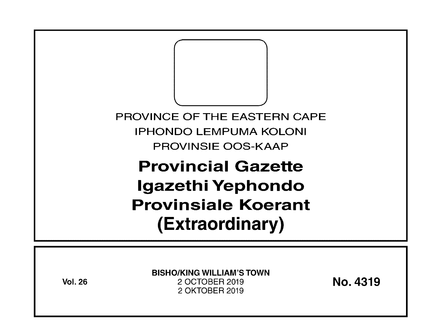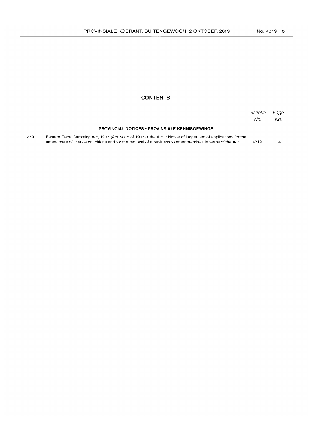## **CONTENTS**

|                                                       |                                                                                                                                                                                                                         | Gazette<br>No. | Page<br>No. |  |
|-------------------------------------------------------|-------------------------------------------------------------------------------------------------------------------------------------------------------------------------------------------------------------------------|----------------|-------------|--|
| <b>PROVINCIAL NOTICES • PROVINSIALE KENNISGEWINGS</b> |                                                                                                                                                                                                                         |                |             |  |
| 279                                                   | Eastern Cape Gambling Act, 1997 (Act No. 5 of 1997) ("the Act"): Notice of lodgement of applications for the<br>amendment of licence conditions and for the removal of a business to other premises in terms of the Act | 4319           |             |  |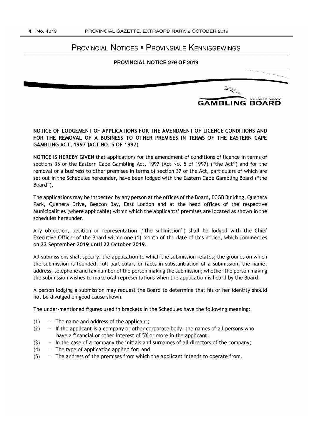# PROVINCIAL NOTICES • PROVINSIALE KENNISGEWINGS

#### PROVINCIAL NOTICE 279 OF 2019



NOTICE OF LODGEMENT OF APPLICATIONS FOR THE AMENDMENT OF LICENCE CONDITIONS AND

FOR THE REMOVAL OF A BUSINESS TO OTHER PREMISES IN TERMS OF THE EASTERN CAPE GAMBLING ACT, 1997 (ACT NO.5 OF 1997)

NOTICE IS HEREBY GIVEN that applications for the amendment of conditions of licence in terms of sections 35 of the Eastern Cape Gambling Act, 1997 (Act No. 5 of 1997) ("the Act") and for the removal of a business to other premises in terms of section 37 of the Act, particulars of which are set out in the Schedules hereunder, have been lodged with the Eastern Cape Gambling Board ("the Board").

The applications may be inspected by any person at the offices of the Board, ECGB Building, Quenera Park, Quenera Drive, Beacon Bay, East London and at the head offices of the respective Municipalities (where applicable) within which the applicants' premises are located as shown in the schedules hereunder.

Any objection, petition or representation ("the submission") shall be lodged with the Chief Executive Officer of the Board within one (1) month of the date of this notice, which commences on 23 September 2019 until 22 October 2019.

All submissions shall specify: the application to which the submission relates; the grounds on which the submission is founded; full particulars or facts in substantiation of a submission; the name, address, telephone and fax number of the person making the submission; whether the person making the submission wishes to make oral representations when the application is heard by the Board.

A person lodging a submission may request the Board to determine that his or her identity should not be divulged on good cause shown.

The under-mentioned figures used in brackets in the Schedules have the following meaning:

- $(1)$  = The name and address of the applicant;
- $(2)$  = If the applicant is a company or other corporate body, the names of all persons who have a financial or other interest of 5% or more in the applicant;
- $(3)$  = In the case of a company the initials and surnames of all directors of the company;
- $(4)$  = The type of application applied for; and
- $(5)$  = The address of the premises from which the applicant intends to operate from.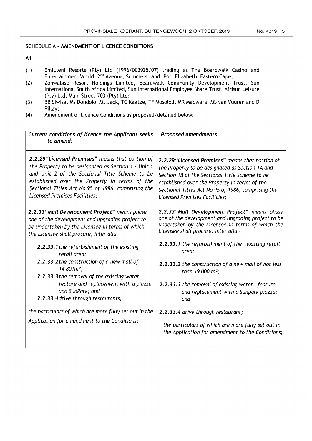# SCHEDULE A - AMENDMENT OF LICENCE CONDITIONS

## A1

- (1) Emfuleni Resorts (Pty) Ltd (1996/003925/07) trading as The Boardwalk Casino and Entertainment World, 2nd Avenue, Summerstrand, Port Elizabeth, Eastern Cape;
- (2) Zonwabise Resort Holdings Limited, Boardwalk Community Development Trust, Sun International South Africa Limited, Sun International Employee Share Trust, Afrisun Leisure (Pty) Ltd, Main Street 703 (Pty) Ltd;
- (3) BB Siwisa, Ms Dondolo, MJ Jack, TC Kaatze, TF Mosololi, MR Madwara, MS van Vuuren and D Pillay;
- (4) Amendment of Licence Conditions as proposed/detailed below:

| Current conditions of licence the Applicant seeks<br>to amend:                                                     | Proposed amendments:                                                                                                                         |
|--------------------------------------------------------------------------------------------------------------------|----------------------------------------------------------------------------------------------------------------------------------------------|
| 2.2.29 "Licensed Premises" means that portion of                                                                   | 2.2.29 "Licensed Premises" means that portion of                                                                                             |
| the Property to be designated as Section 1 - Unit 1                                                                | the Property to be designated as Section 1A and                                                                                              |
| and Unit 2 of the Sectional Title Scheme to be                                                                     | Section 1B of the Sectional Title Scheme to be                                                                                               |
| established over the Property in terms of the                                                                      | established over the Property in terms of the                                                                                                |
| Sectional Titles Act No 95 of 1986, comprising the                                                                 | Sectional Titles Act No 95 of 1986, comprising the                                                                                           |
| Licensed Premises Facilities;                                                                                      | Licensed Premises Facilities;                                                                                                                |
| 2.2.33 "Mall Development Project" means phase                                                                      | 2.2.33"Mall Development Project" means phase                                                                                                 |
| one of the development and upgrading project to                                                                    | one of the development and upgrading project to be                                                                                           |
| be undertaken by the Licensee in terms of which                                                                    | undertaken by the Licensee in terms of which the                                                                                             |
| the Licensee shall procure, inter alia -                                                                           | Licensee shall procure, inter alia -                                                                                                         |
| 2.2.33.1 the refurbishment of the existing                                                                         | 2.2.33.1 the refurbishment of the existing retail                                                                                            |
| retail area;                                                                                                       | area;                                                                                                                                        |
| 2.2.33.2 the construction of a new mall of<br>14 801m <sup>2</sup> ;<br>2.2.33.3 the removal of the existing water | 2.2.33.2 the construction of a new mall of not less<br>than 19 000 $m^2$ ;                                                                   |
| feature and replacement with a piazza                                                                              | 2.2.33.3 the removal of existing water feature                                                                                               |
| and SunPark; and                                                                                                   | and replacement with a Sunpark piazza;                                                                                                       |
| 2.2.33.4 drive through restaurants;                                                                                | and                                                                                                                                          |
| the particulars of which are more fully set out in the<br>Application for amendment to the Conditions;             | 2.2.33.4 drive through restaurant;<br>the particulars of which are more fully set out in<br>the Application for amendment to the Conditions; |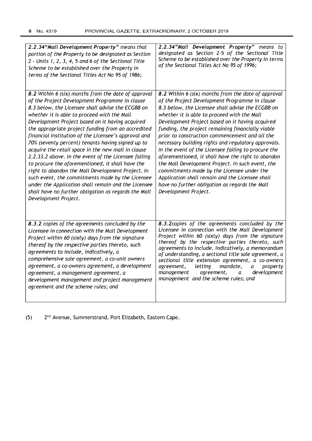| 2.2.34" Mall Development Property" means that<br>portion of the Property to be designated as Section<br>$2$ - Units 1, 2, 3, 4, 5 and 6 of the Sectional Title<br>Scheme to be established over the Property in<br>terms of the Sectional Titles Act No 95 of 1986;                                                                                                                                                                                                                                                                                                                                                                                                                                                                                                                                                                               | 2.2.34" Mall Development Property" means to<br>designated as Section 2-5 of the Sectional Title<br>Scheme to be established over the Property in terms<br>of the Sectional Titles Act No 95 of 1996;                                                                                                                                                                                                                                                                                                                                                                                                                                                                                                                                                                   |
|---------------------------------------------------------------------------------------------------------------------------------------------------------------------------------------------------------------------------------------------------------------------------------------------------------------------------------------------------------------------------------------------------------------------------------------------------------------------------------------------------------------------------------------------------------------------------------------------------------------------------------------------------------------------------------------------------------------------------------------------------------------------------------------------------------------------------------------------------|------------------------------------------------------------------------------------------------------------------------------------------------------------------------------------------------------------------------------------------------------------------------------------------------------------------------------------------------------------------------------------------------------------------------------------------------------------------------------------------------------------------------------------------------------------------------------------------------------------------------------------------------------------------------------------------------------------------------------------------------------------------------|
| 8.2 Within 6 (six) months from the date of approval<br>of the Project Development Programme in clause<br>8.3 below, the Licensee shall advise the ECGBB on<br>whether it is able to proceed with the Mall<br>Development Project based on it having acquired<br>the appropriate project funding from an accredited<br>financial institution of the Licensee's approval and<br>70% (seventy percent) tenants having signed up to<br>acquire the retail space in the new mall in clause<br>2.2.33.2 above. In the event of the Licensee failing<br>to procure the aforementioned, it shall have the<br>right to abandon the Mall Development Project. In<br>such event, the commitments made by the Licensee<br>under the Application shall remain and the Licensee<br>shall have no further obligation as regards the Mall<br>Development Project. | 8.2 Within 6 (six) months from the date of approval<br>of the Project Development Programme in clause<br>8.3 below, the Licensee shall advise the ECGBB on<br>whether it is able to proceed with the Mall<br>Development Project based on it having acquired<br>funding, the project remaining financially viable<br>prior to construction commencement and all the<br>necessary building rights and regulatory approvals.<br>In the event of the Licensee failing to procure the<br>aforementioned, it shall have the right to abandon<br>the Mall Development Project. In such event, the<br>commitments made by the Licensee under the<br>Application shall remain and the Licensee shall<br>have no further obligation as regards the Mall<br>Development Project. |
| 8.3.2 copies of the agreements concluded by the<br>Licensee in connection with the Mall Development<br>Project within 60 (sixty) days from the signature<br>thereof by the respective parties thereto, such<br>agreements to include, indicatively, a<br>comprehensive sale agreement, a co-unit owners<br>agreement, a co-owners agreement, a development<br>agreement, a management agreement, a<br>development management and project management<br>agreement and the scheme rules; and                                                                                                                                                                                                                                                                                                                                                        | 8.3.2 copies of the agreements concluded by the<br>Licensee in connection with the Mall Development<br>Project within 60 (sixty) days from the signature<br>thereof by the respective parties thereto, such<br>agreements to include, indicatively, a memorandum<br>of understanding, a sectional title sale agreement, a<br>sectional title extension agreement, a co-owners<br>mandate,<br>agreement,<br>letting<br>property<br>a<br>development<br>management<br>agreement,<br>a<br>management and the scheme rules; and                                                                                                                                                                                                                                            |

(5) 2nd Avenue, Summerstrand, Port Elizabeth, Eastern Cape.